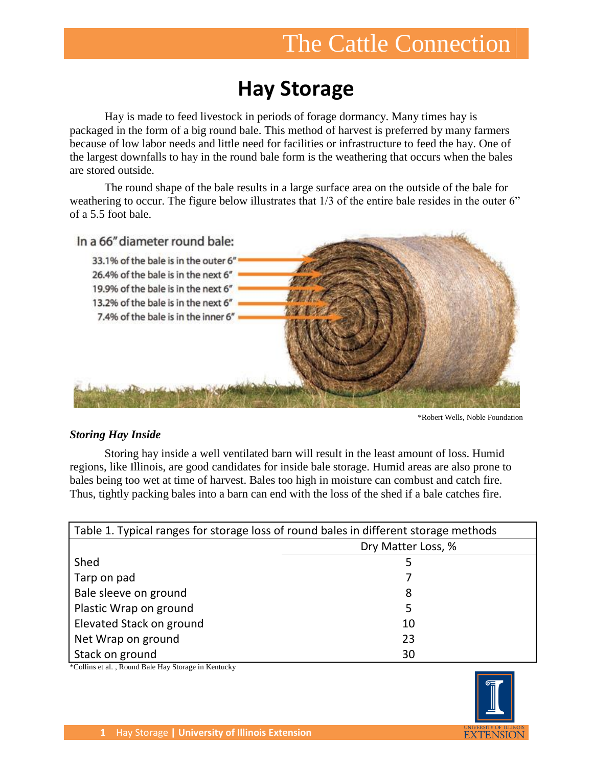# The Cattle Connection

## **Hay Storage**

Hay is made to feed livestock in periods of forage dormancy. Many times hay is packaged in the form of a big round bale. This method of harvest is preferred by many farmers because of low labor needs and little need for facilities or infrastructure to feed the hay. One of the largest downfalls to hay in the round bale form is the weathering that occurs when the bales are stored outside.

The round shape of the bale results in a large surface area on the outside of the bale for weathering to occur. The figure below illustrates that  $1/3$  of the entire bale resides in the outer 6" of a 5.5 foot bale.



\*Robert Wells, Noble Foundation

### *Storing Hay Inside*

Storing hay inside a well ventilated barn will result in the least amount of loss. Humid regions, like Illinois, are good candidates for inside bale storage. Humid areas are also prone to bales being too wet at time of harvest. Bales too high in moisture can combust and catch fire. Thus, tightly packing bales into a barn can end with the loss of the shed if a bale catches fire.

| Table 1. Typical ranges for storage loss of round bales in different storage methods |                    |  |  |  |
|--------------------------------------------------------------------------------------|--------------------|--|--|--|
|                                                                                      | Dry Matter Loss, % |  |  |  |
| Shed                                                                                 | 5                  |  |  |  |
| Tarp on pad                                                                          |                    |  |  |  |
| Bale sleeve on ground                                                                | 8                  |  |  |  |
| Plastic Wrap on ground                                                               | 5                  |  |  |  |
| Elevated Stack on ground                                                             | 10                 |  |  |  |
| Net Wrap on ground                                                                   | 23                 |  |  |  |
| Stack on ground                                                                      | 30                 |  |  |  |

\*Collins et al. , Round Bale Hay Storage in Kentucky